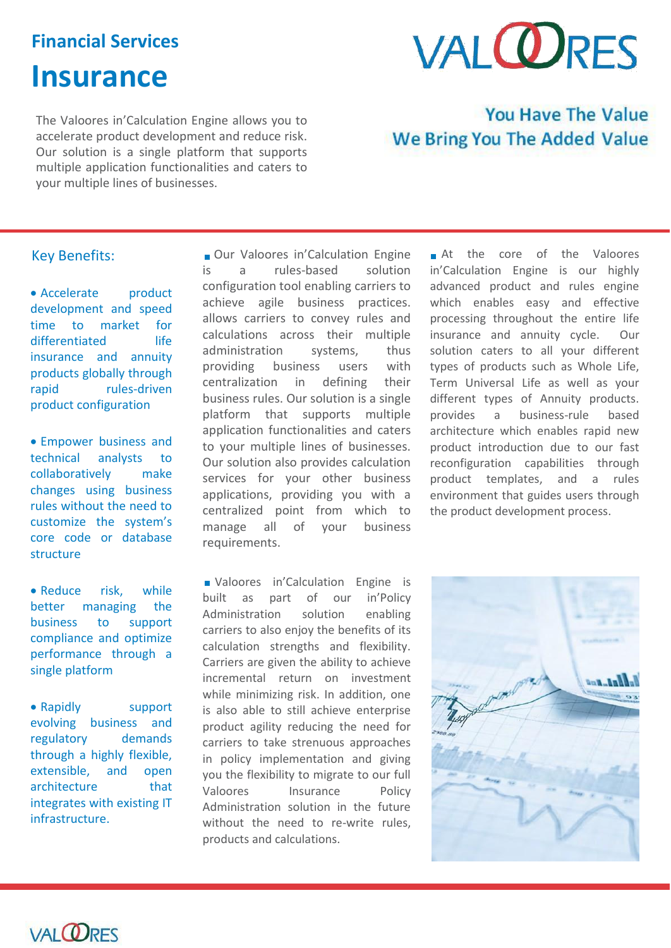# **Financial Services**

# **Insurance**

# **VAL ORES**

The Valoores in'Calculation Engine allows you to accelerate product development and reduce risk. Our solution is a single platform that supports multiple application functionalities and caters to your multiple lines of businesses.

## **You Have The Value** We Bring You The Added Value

## Key Benefits:

• Accelerate **product** development and speed time to market for differentiated insurance and annuity products globally through rapid rules-driven product configuration

 Empower business and technical analysts to collaboratively make changes using business rules without the need to customize the system's core code or database structure

• Reduce risk, while better managing the business to support compliance and optimize performance through a single platform

• Rapidly support evolving business and regulatory demands through a highly flexible, extensible, and open architecture that integrates with existing IT infrastructure.

Our Valoores in'Calculation Engine is a rules-based solution configuration tool enabling carriers to achieve agile business practices. allows carriers to convey rules and calculations across their multiple administration systems, thus providing business users with centralization in defining their business rules. Our solution is a single platform that supports multiple application functionalities and caters to your multiple lines of businesses. Our solution also provides calculation services for your other business applications, providing you with a centralized point from which to manage all of your business requirements.

**Naloores** in'Calculation Engine is built as part of our in'Policy Administration solution enabling carriers to also enjoy the benefits of its calculation strengths and flexibility. Carriers are given the ability to achieve incremental return on investment while minimizing risk. In addition, one is also able to still achieve enterprise product agility reducing the need for carriers to take strenuous approaches in policy implementation and giving you the flexibility to migrate to our full Valoores Insurance Policy Administration solution in the future without the need to re-write rules. products and calculations.

At the core of the Valoores in'Calculation Engine is our highly advanced product and rules engine which enables easy and effective processing throughout the entire life insurance and annuity cycle. Our solution caters to all your different types of products such as Whole Life, Term Universal Life as well as your different types of Annuity products. provides a business-rule based architecture which enables rapid new product introduction due to our fast reconfiguration capabilities through product templates, and a rules environment that guides users through the product development process.